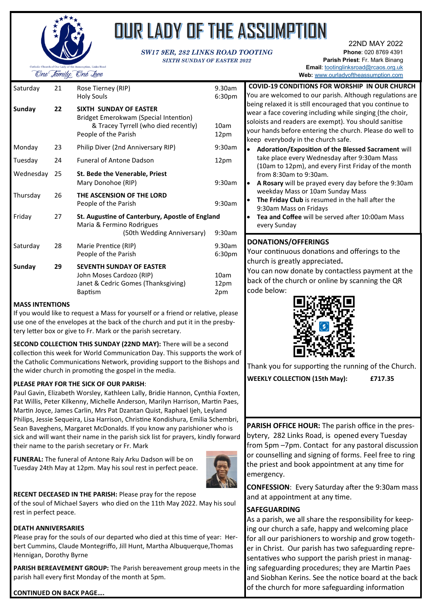

# OUR LADY OF THE ASSUMPTION

#### *SW17 9ER, 282 LINKS ROAD TOOTING SIXTH SUNDAY OF EASTER 2022*

22ND MAY 2022 **Phone**: 020 8769 4391 **Parish Priest**: Fr. Mark Binang **Email**: [tootinglinksroad@rcaos.org.uk](mailto:tootinglinksroad@rcaos.org.uk)

**Web:** [www.ourladyoftheassumption.com](http://www.ourladyoftheassumption.com)

**COVID-19 CONDITIONS FOR WORSHIP IN OUR CHURCH**

| Saturday  | 21 | Rose Tierney (RIP)<br><b>Holy Souls</b>                                                                                         | 9.30am<br>6:30pm             |
|-----------|----|---------------------------------------------------------------------------------------------------------------------------------|------------------------------|
| Sunday    | 22 | SIXTH SUNDAY OF EASTER<br>Bridget Emerokwam (Special Intention)<br>& Tracey Tyrrell (who died recently)<br>People of the Parish | 10am<br>12pm                 |
| Monday    | 23 | Philip Diver (2nd Anniversary RIP)                                                                                              | 9:30am                       |
| Tuesday   | 24 | <b>Funeral of Antone Dadson</b>                                                                                                 | 12pm                         |
| Wednesday | 25 | St. Bede the Venerable, Priest<br>Mary Donohoe (RIP)                                                                            | 9:30am                       |
| Thursday  | 26 | THE ASCENSION OF THE LORD<br>People of the Parish                                                                               | 9:30am                       |
| Friday    | 27 | St. Augustine of Canterbury, Apostle of England<br>Maria & Fermino Rodrigues<br>(50th Wedding Anniversary)                      | 9:30am                       |
| Saturday  | 28 | Marie Prentice (RIP)<br>People of the Parish                                                                                    | 9.30am<br>6:30 <sub>pm</sub> |
| Sunday    | 29 | <b>SEVENTH SUNDAY OF EASTER</b><br>John Moses Cardozo (RIP)<br>Janet & Cedric Gomes (Thanksgiving)<br><b>Baptism</b>            | 10am<br>12pm<br>2pm          |
|           |    |                                                                                                                                 |                              |

#### **MASS INTENTIONS**

If you would like to request a Mass for yourself or a friend or relative, please use one of the envelopes at the back of the church and put it in the presbytery letter box or give to Fr. Mark or the parish secretary.

**SECOND COLLECTION THIS SUNDAY (22ND MAY):** There will be a second collection this week for World Communication Day. This supports the work the Catholic Communications Network, providing support to the Bishops and the wider church in promoting the gospel in the media.

#### **PLEASE PRAY FOR THE SICK OF OUR PARISH**:

Paul Gavin, Elizabeth Worsley, Kathleen Lally, Bridie Hannon, Cynthia Foxten, Pat Willis, Peter Kilkenny, Michelle Anderson, Marilyn Harrison, Martin Paes, Martin Joyce, James Carlin, Mrs Pat Dzantan Quist, Raphael Ijeh, Leyland Philips, Jessie Sequeira, Lisa Harrison, Christine Kondishura, Emilia Schembri, Sean Baveghens, Margaret McDonalds. If you know any parishioner who is sick and will want their name in the parish sick list for prayers, kindly forward their name to the parish secretary or Fr. Mark

**FUNERAL:** The funeral of Antone Raiy Arku Dadson will be on Tuesday 24th May at 12pm. May his soul rest in perfect peace.



**RECENT DECEASED IN THE PARISH:** Please pray for the repose of the soul of Michael Sayers who died on the 11th May 2022. May his soul rest in perfect peace.

#### **DEATH ANNIVERSARIES**

Please pray for the souls of our departed who died at this time of year: Herbert Cummins, Claude Montegriffo, Jill Hunt, Martha Albuquerque,Thomas Hennigan, Dorothy Byrne

**PARISH BEREAVEMENT GROUP:** The Parish bereavement group meets in the parish hall every first Monday of the month at 5pm.



| ï<br>١<br>١                        | You are welcomed to our parish. Although regulations are<br>being relaxed it is still encouraged that you continue to<br>wear a face covering including while singing (the choir,<br>soloists and readers are exempt). You should sanitise<br>your hands before entering the church. Please do well to<br>keep everybody in the church safe.<br>Adoration/Exposition of the Blessed Sacrament will<br>take place every Wednesday after 9:30am Mass<br>(10am to 12pm), and every First Friday of the month<br>from 8:30am to 9:30am.<br>A Rosary will be prayed every day before the 9:30am<br>weekday Mass or 10am Sunday Mass<br>The Friday Club is resumed in the hall after the<br>9:30am Mass on Fridays<br>Tea and Coffee will be served after 10:00am Mass<br>every Sunday |
|------------------------------------|----------------------------------------------------------------------------------------------------------------------------------------------------------------------------------------------------------------------------------------------------------------------------------------------------------------------------------------------------------------------------------------------------------------------------------------------------------------------------------------------------------------------------------------------------------------------------------------------------------------------------------------------------------------------------------------------------------------------------------------------------------------------------------|
| ١<br>ì<br>e<br>of<br>d<br>٦,<br>ŝ, | <b>DONATIONS/OFFERINGS</b><br>Your continuous donations and offerings to the<br>church is greatly appreciated.<br>You can now donate by contactless payment at the<br>back of the church or online by scanning the QR<br>code below:<br>Thank you for supporting the running of the Church.<br><b>WEEKLY COLLECTION (15th May):</b><br>£717.35                                                                                                                                                                                                                                                                                                                                                                                                                                   |
| i,                                 | PARISH OFFICE HOUR: The parish office in the pres-                                                                                                                                                                                                                                                                                                                                                                                                                                                                                                                                                                                                                                                                                                                               |

bytery, 282 Links Road, is opened every Tuesday from 5pm –7pm. Contact for any pastoral discussion or counselling and signing of forms. Feel free to ring the priest and book appointment at any time for emergency.

**CONFESSION**: Every Saturday after the 9:30am mass and at appointment at any time.

#### **SAFEGUARDING**

As a parish, we all share the responsibility for keeping our church a safe, happy and welcoming place for all our parishioners to worship and grow together in Christ. Our parish has two safeguarding representatives who support the parish priest in managing safeguarding procedures; they are Martin Paes and Siobhan Kerins. See the notice board at the back of the church for more safeguarding information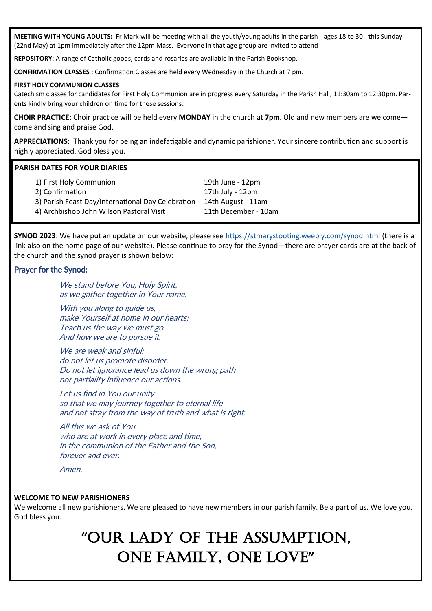**MEETING WITH YOUNG ADULTS:** Fr Mark will be meeting with all the youth/young adults in the parish - ages 18 to 30 - this Sunday (22nd May) at 1pm immediately after the 12pm Mass. Everyone in that age group are invited to attend

**REPOSITORY**: A range of Catholic goods, cards and rosaries are available in the Parish Bookshop.

**CONFIRMATION CLASSES** : Confirmation Classes are held every Wednesday in the Church at 7 pm.

#### **FIRST HOLY COMMUNION CLASSES**

Catechism classes for candidates for First Holy Communion are in progress every Saturday in the Parish Hall, 11:30am to 12:30pm. Parents kindly bring your children on time for these sessions.

**CHOIR PRACTICE:** Choir practice will be held every **MONDAY** in the church at **7pm**. Old and new members are welcome come and sing and praise God.

**APPRECIATIONS:** Thank you for being an indefatigable and dynamic parishioner. Your sincere contribution and support is highly appreciated. God bless you.

#### **PARISH DATES FOR YOUR DIARIES**

| 1) First Holy Communion                           | 19th June - 12pm     |
|---------------------------------------------------|----------------------|
| 2) Confirmation                                   | 17th July - 12pm     |
| 3) Parish Feast Day/International Day Celebration | 14th August - 11am   |
| 4) Archbishop John Wilson Pastoral Visit          | 11th December - 10am |
|                                                   |                      |

**SYNOD 2023**: We have put an update on our website, please see <https://stmarystooting.weebly.com/synod.html> (there is a link also on the home page of our website). Please continue to pray for the Synod—there are prayer cards are at the back of the church and the synod prayer is shown below:

#### Prayer for the Synod:

We stand before You, Holy Spirit, as we gather together in Your name.

With you along to guide us, make Yourself at home in our hearts; Teach us the way we must go And how we are to pursue it.

We are weak and sinful: do not let us promote disorder. Do not let ignorance lead us down the wrong path nor partiality influence our actions.

Let us find in You our unity so that we may journey together to eternal life and not stray from the way of truth and what is right.

All this we ask of You who are at work in every place and time. in the communion of the Father and the Son, forever and ever.

Amen.

#### **WELCOME TO NEW PARISHIONERS**

We welcome all new parishioners. We are pleased to have new members in our parish family. Be a part of us. We love you. God bless you.

# **"**OUR LADY OF THE ASSUMPTION, ONE FAMILY, ONE LOVE**"**